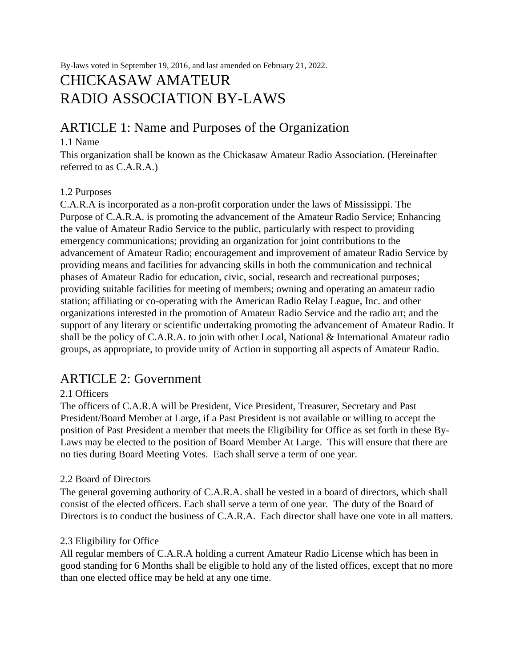By-laws voted in September 19, 2016, and last amended on February 21, 2022.

# CHICKASAW AMATEUR RADIO ASSOCIATION BY-LAWS

## ARTICLE 1: Name and Purposes of the Organization

## 1.1 Name

This organization shall be known as the Chickasaw Amateur Radio Association. (Hereinafter referred to as C.A.R.A.)

## 1.2 Purposes

C.A.R.A is incorporated as a non-profit corporation under the laws of Mississippi. The Purpose of C.A.R.A. is promoting the advancement of the Amateur Radio Service; Enhancing the value of Amateur Radio Service to the public, particularly with respect to providing emergency communications; providing an organization for joint contributions to the advancement of Amateur Radio; encouragement and improvement of amateur Radio Service by providing means and facilities for advancing skills in both the communication and technical phases of Amateur Radio for education, civic, social, research and recreational purposes; providing suitable facilities for meeting of members; owning and operating an amateur radio station; affiliating or co-operating with the American Radio Relay League, Inc. and other organizations interested in the promotion of Amateur Radio Service and the radio art; and the support of any literary or scientific undertaking promoting the advancement of Amateur Radio. It shall be the policy of C.A.R.A. to join with other Local, National & International Amateur radio groups, as appropriate, to provide unity of Action in supporting all aspects of Amateur Radio.

## ARTICLE 2: Government

## 2.1 Officers

The officers of C.A.R.A will be President, Vice President, Treasurer, Secretary and Past President/Board Member at Large, if a Past President is not available or willing to accept the position of Past President a member that meets the Eligibility for Office as set forth in these By-Laws may be elected to the position of Board Member At Large. This will ensure that there are no ties during Board Meeting Votes. Each shall serve a term of one year.

## 2.2 Board of Directors

The general governing authority of C.A.R.A. shall be vested in a board of directors, which shall consist of the elected officers. Each shall serve a term of one year. The duty of the Board of Directors is to conduct the business of C.A.R.A. Each director shall have one vote in all matters.

## 2.3 Eligibility for Office

All regular members of C.A.R.A holding a current Amateur Radio License which has been in good standing for 6 Months shall be eligible to hold any of the listed offices, except that no more than one elected office may be held at any one time.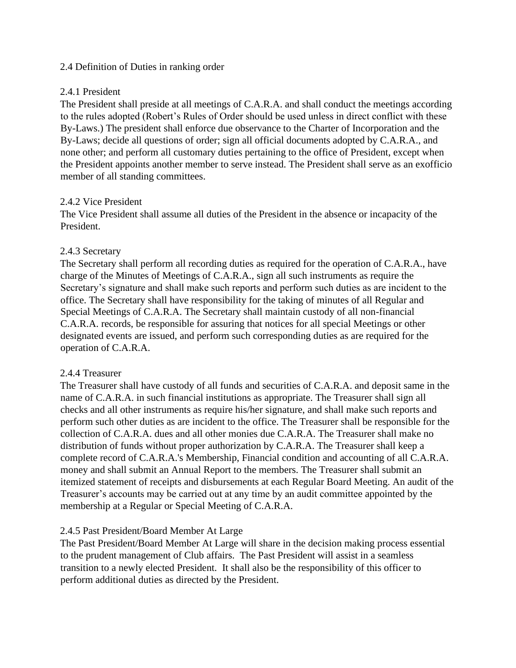### 2.4 Definition of Duties in ranking order

## 2.4.1 President

The President shall preside at all meetings of C.A.R.A. and shall conduct the meetings according to the rules adopted (Robert's Rules of Order should be used unless in direct conflict with these By-Laws.) The president shall enforce due observance to the Charter of Incorporation and the By-Laws; decide all questions of order; sign all official documents adopted by C.A.R.A., and none other; and perform all customary duties pertaining to the office of President, except when the President appoints another member to serve instead. The President shall serve as an exofficio member of all standing committees.

## 2.4.2 Vice President

The Vice President shall assume all duties of the President in the absence or incapacity of the President.

### 2.4.3 Secretary

The Secretary shall perform all recording duties as required for the operation of C.A.R.A., have charge of the Minutes of Meetings of C.A.R.A., sign all such instruments as require the Secretary's signature and shall make such reports and perform such duties as are incident to the office. The Secretary shall have responsibility for the taking of minutes of all Regular and Special Meetings of C.A.R.A. The Secretary shall maintain custody of all non-financial C.A.R.A. records, be responsible for assuring that notices for all special Meetings or other designated events are issued, and perform such corresponding duties as are required for the operation of C.A.R.A.

## 2.4.4 Treasurer

The Treasurer shall have custody of all funds and securities of C.A.R.A. and deposit same in the name of C.A.R.A. in such financial institutions as appropriate. The Treasurer shall sign all checks and all other instruments as require his/her signature, and shall make such reports and perform such other duties as are incident to the office. The Treasurer shall be responsible for the collection of C.A.R.A. dues and all other monies due C.A.R.A. The Treasurer shall make no distribution of funds without proper authorization by C.A.R.A. The Treasurer shall keep a complete record of C.A.R.A.'s Membership, Financial condition and accounting of all C.A.R.A. money and shall submit an Annual Report to the members. The Treasurer shall submit an itemized statement of receipts and disbursements at each Regular Board Meeting. An audit of the Treasurer's accounts may be carried out at any time by an audit committee appointed by the membership at a Regular or Special Meeting of C.A.R.A.

## 2.4.5 Past President/Board Member At Large

The Past President/Board Member At Large will share in the decision making process essential to the prudent management of Club affairs. The Past President will assist in a seamless transition to a newly elected President. It shall also be the responsibility of this officer to perform additional duties as directed by the President.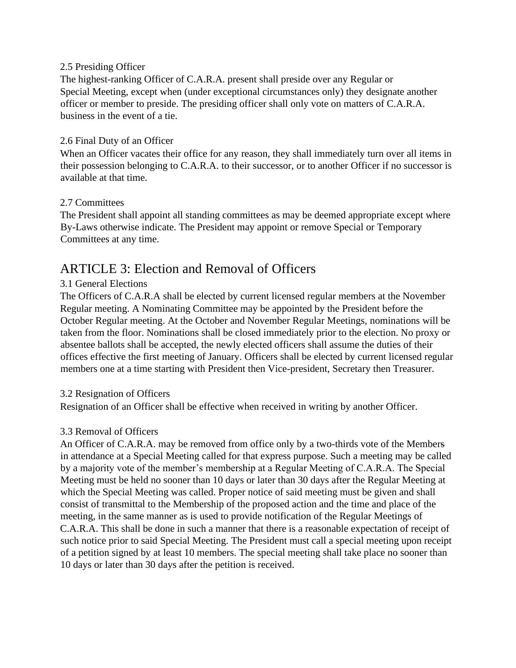#### 2.5 Presiding Officer

The highest-ranking Officer of C.A.R.A. present shall preside over any Regular or Special Meeting, except when (under exceptional circumstances only) they designate another officer or member to preside. The presiding officer shall only vote on matters of C.A.R.A. business in the event of a tie.

## 2.6 Final Duty of an Officer

When an Officer vacates their office for any reason, they shall immediately turn over all items in their possession belonging to C.A.R.A. to their successor, or to another Officer if no successor is available at that time.

### 2.7 Committees

The President shall appoint all standing committees as may be deemed appropriate except where By-Laws otherwise indicate. The President may appoint or remove Special or Temporary Committees at any time.

# ARTICLE 3: Election and Removal of Officers

## 3.1 General Elections

The Officers of C.A.R.A shall be elected by current licensed regular members at the November Regular meeting. A Nominating Committee may be appointed by the President before the October Regular meeting. At the October and November Regular Meetings, nominations will be taken from the floor. Nominations shall be closed immediately prior to the election. No proxy or absentee ballots shall be accepted, the newly elected officers shall assume the duties of their offices effective the first meeting of January. Officers shall be elected by current licensed regular members one at a time starting with President then Vice-president, Secretary then Treasurer.

## 3.2 Resignation of Officers

Resignation of an Officer shall be effective when received in writing by another Officer.

## 3.3 Removal of Officers

An Officer of C.A.R.A. may be removed from office only by a two-thirds vote of the Members in attendance at a Special Meeting called for that express purpose. Such a meeting may be called by a majority vote of the member's membership at a Regular Meeting of C.A.R.A. The Special Meeting must be held no sooner than 10 days or later than 30 days after the Regular Meeting at which the Special Meeting was called. Proper notice of said meeting must be given and shall consist of transmittal to the Membership of the proposed action and the time and place of the meeting, in the same manner as is used to provide notification of the Regular Meetings of C.A.R.A. This shall be done in such a manner that there is a reasonable expectation of receipt of such notice prior to said Special Meeting. The President must call a special meeting upon receipt of a petition signed by at least 10 members. The special meeting shall take place no sooner than 10 days or later than 30 days after the petition is received.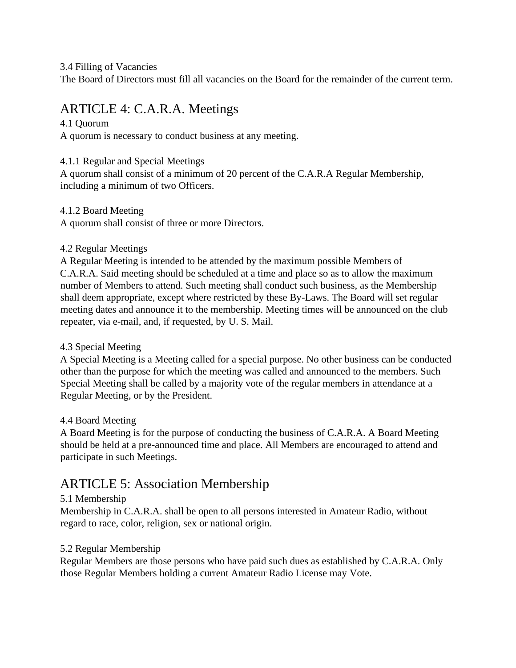3.4 Filling of Vacancies

The Board of Directors must fill all vacancies on the Board for the remainder of the current term.

# ARTICLE 4: C.A.R.A. Meetings

## 4.1 Quorum

A quorum is necessary to conduct business at any meeting.

## 4.1.1 Regular and Special Meetings

A quorum shall consist of a minimum of 20 percent of the C.A.R.A Regular Membership, including a minimum of two Officers.

## 4.1.2 Board Meeting

A quorum shall consist of three or more Directors.

## 4.2 Regular Meetings

A Regular Meeting is intended to be attended by the maximum possible Members of C.A.R.A. Said meeting should be scheduled at a time and place so as to allow the maximum number of Members to attend. Such meeting shall conduct such business, as the Membership shall deem appropriate, except where restricted by these By-Laws. The Board will set regular meeting dates and announce it to the membership. Meeting times will be announced on the club repeater, via e-mail, and, if requested, by U. S. Mail.

## 4.3 Special Meeting

A Special Meeting is a Meeting called for a special purpose. No other business can be conducted other than the purpose for which the meeting was called and announced to the members. Such Special Meeting shall be called by a majority vote of the regular members in attendance at a Regular Meeting, or by the President.

## 4.4 Board Meeting

A Board Meeting is for the purpose of conducting the business of C.A.R.A. A Board Meeting should be held at a pre-announced time and place. All Members are encouraged to attend and participate in such Meetings.

# ARTICLE 5: Association Membership

## 5.1 Membership

Membership in C.A.R.A. shall be open to all persons interested in Amateur Radio, without regard to race, color, religion, sex or national origin.

## 5.2 Regular Membership

Regular Members are those persons who have paid such dues as established by C.A.R.A. Only those Regular Members holding a current Amateur Radio License may Vote.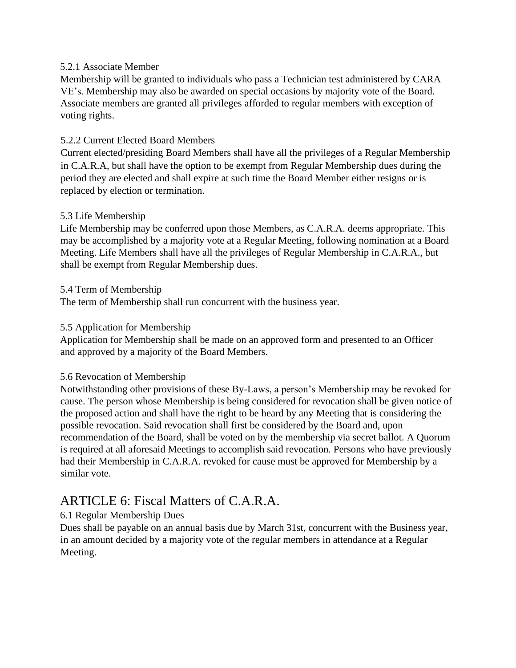## 5.2.1 Associate Member

Membership will be granted to individuals who pass a Technician test administered by CARA VE's. Membership may also be awarded on special occasions by majority vote of the Board. Associate members are granted all privileges afforded to regular members with exception of voting rights.

## 5.2.2 Current Elected Board Members

Current elected/presiding Board Members shall have all the privileges of a Regular Membership in C.A.R.A, but shall have the option to be exempt from Regular Membership dues during the period they are elected and shall expire at such time the Board Member either resigns or is replaced by election or termination.

### 5.3 Life Membership

Life Membership may be conferred upon those Members, as C.A.R.A. deems appropriate. This may be accomplished by a majority vote at a Regular Meeting, following nomination at a Board Meeting. Life Members shall have all the privileges of Regular Membership in C.A.R.A., but shall be exempt from Regular Membership dues.

### 5.4 Term of Membership

The term of Membership shall run concurrent with the business year.

### 5.5 Application for Membership

Application for Membership shall be made on an approved form and presented to an Officer and approved by a majority of the Board Members.

#### 5.6 Revocation of Membership

Notwithstanding other provisions of these By-Laws, a person's Membership may be revoked for cause. The person whose Membership is being considered for revocation shall be given notice of the proposed action and shall have the right to be heard by any Meeting that is considering the possible revocation. Said revocation shall first be considered by the Board and, upon recommendation of the Board, shall be voted on by the membership via secret ballot. A Quorum is required at all aforesaid Meetings to accomplish said revocation. Persons who have previously had their Membership in C.A.R.A. revoked for cause must be approved for Membership by a similar vote.

## ARTICLE 6: Fiscal Matters of C.A.R.A.

## 6.1 Regular Membership Dues

Dues shall be payable on an annual basis due by March 31st, concurrent with the Business year, in an amount decided by a majority vote of the regular members in attendance at a Regular Meeting.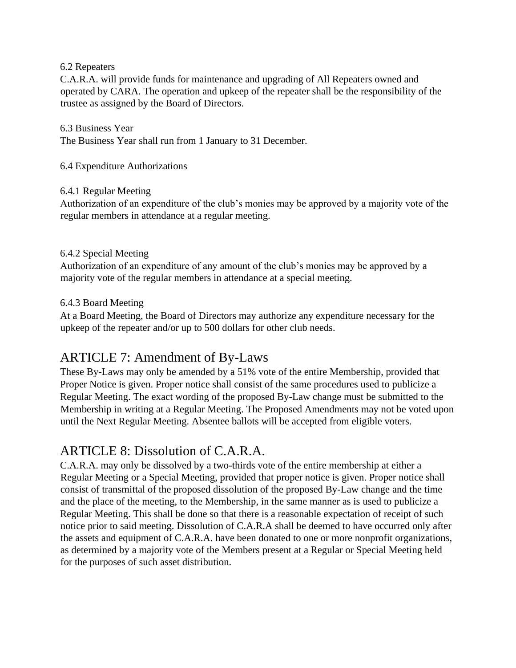## 6.2 Repeaters

C.A.R.A. will provide funds for maintenance and upgrading of All Repeaters owned and operated by CARA. The operation and upkeep of the repeater shall be the responsibility of the trustee as assigned by the Board of Directors.

## 6.3 Business Year

The Business Year shall run from 1 January to 31 December.

6.4 Expenditure Authorizations

### 6.4.1 Regular Meeting

Authorization of an expenditure of the club's monies may be approved by a majority vote of the regular members in attendance at a regular meeting.

## 6.4.2 Special Meeting

Authorization of an expenditure of any amount of the club's monies may be approved by a majority vote of the regular members in attendance at a special meeting.

### 6.4.3 Board Meeting

At a Board Meeting, the Board of Directors may authorize any expenditure necessary for the upkeep of the repeater and/or up to 500 dollars for other club needs.

## ARTICLE 7: Amendment of By-Laws

These By-Laws may only be amended by a 51% vote of the entire Membership, provided that Proper Notice is given. Proper notice shall consist of the same procedures used to publicize a Regular Meeting. The exact wording of the proposed By-Law change must be submitted to the Membership in writing at a Regular Meeting. The Proposed Amendments may not be voted upon until the Next Regular Meeting. Absentee ballots will be accepted from eligible voters.

## ARTICLE 8: Dissolution of C.A.R.A.

C.A.R.A. may only be dissolved by a two-thirds vote of the entire membership at either a Regular Meeting or a Special Meeting, provided that proper notice is given. Proper notice shall consist of transmittal of the proposed dissolution of the proposed By-Law change and the time and the place of the meeting, to the Membership, in the same manner as is used to publicize a Regular Meeting. This shall be done so that there is a reasonable expectation of receipt of such notice prior to said meeting. Dissolution of C.A.R.A shall be deemed to have occurred only after the assets and equipment of C.A.R.A. have been donated to one or more nonprofit organizations, as determined by a majority vote of the Members present at a Regular or Special Meeting held for the purposes of such asset distribution.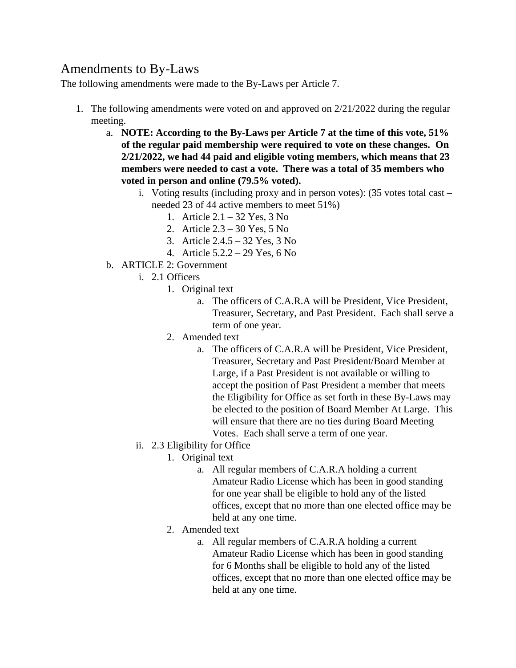# Amendments to By-Laws

The following amendments were made to the By-Laws per Article 7.

- 1. The following amendments were voted on and approved on 2/21/2022 during the regular meeting.
	- a. **NOTE: According to the By-Laws per Article 7 at the time of this vote, 51% of the regular paid membership were required to vote on these changes. On 2/21/2022, we had 44 paid and eligible voting members, which means that 23 members were needed to cast a vote. There was a total of 35 members who voted in person and online (79.5% voted).**
		- i. Voting results (including proxy and in person votes): (35 votes total cast needed 23 of 44 active members to meet 51%)
			- 1. Article 2.1 32 Yes, 3 No
			- 2. Article 2.3 30 Yes, 5 No
			- 3. Article 2.4.5 32 Yes, 3 No
			- 4. Article 5.2.2 29 Yes, 6 No
	- b. ARTICLE 2: Government
		- i. 2.1 Officers
			- 1. Original text
				- a. The officers of C.A.R.A will be President, Vice President, Treasurer, Secretary, and Past President. Each shall serve a term of one year.
			- 2. Amended text
				- a. The officers of C.A.R.A will be President, Vice President, Treasurer, Secretary and Past President/Board Member at Large, if a Past President is not available or willing to accept the position of Past President a member that meets the Eligibility for Office as set forth in these By-Laws may be elected to the position of Board Member At Large. This will ensure that there are no ties during Board Meeting Votes. Each shall serve a term of one year.
		- ii. 2.3 Eligibility for Office
			- 1. Original text
				- a. All regular members of C.A.R.A holding a current Amateur Radio License which has been in good standing for one year shall be eligible to hold any of the listed offices, except that no more than one elected office may be held at any one time.
			- 2. Amended text
				- a. All regular members of C.A.R.A holding a current Amateur Radio License which has been in good standing for 6 Months shall be eligible to hold any of the listed offices, except that no more than one elected office may be held at any one time.